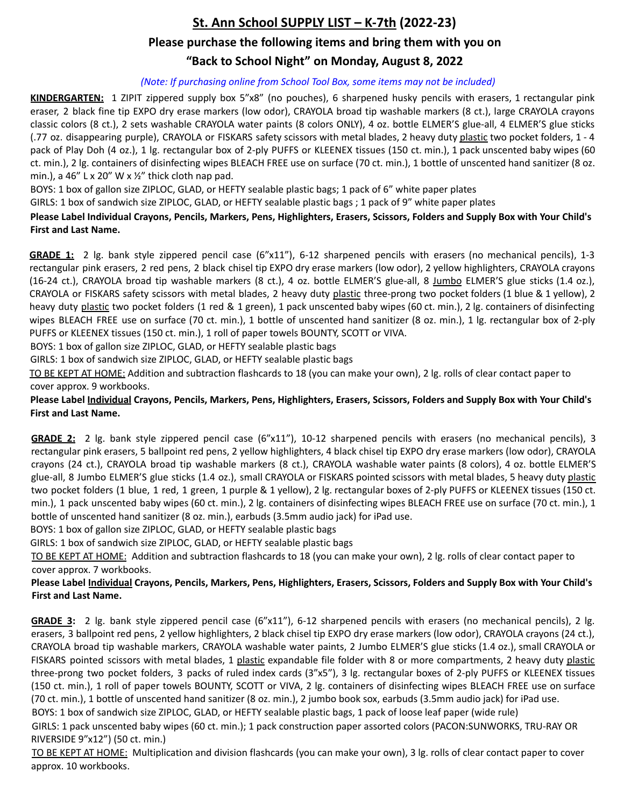# **St. Ann School SUPPLY LIST – K-7th (2022-23) Please purchase the following items and bring them with you on**

# **"Back to School Night" on Monday, August 8, 2022**

#### *(Note: If purchasing online from School Tool Box, some items may not be included)*

**KINDERGARTEN:** 1 ZIPIT zippered supply box 5"x8" (no pouches), 6 sharpened husky pencils with erasers, 1 rectangular pink eraser, 2 black fine tip EXPO dry erase markers (low odor), CRAYOLA broad tip washable markers (8 ct.), large CRAYOLA crayons classic colors (8 ct.), 2 sets washable CRAYOLA water paints (8 colors ONLY), 4 oz. bottle ELMER'S glue-all, 4 ELMER'S glue sticks (.77 oz. disappearing purple), CRAYOLA or FISKARS safety scissors with metal blades, 2 heavy duty plastic two pocket folders, 1 - 4 pack of Play Doh (4 oz.), 1 lg. rectangular box of 2-ply PUFFS or KLEENEX tissues (150 ct. min.), 1 pack unscented baby wipes (60 ct. min.), 2 lg. containers of disinfecting wipes BLEACH FREE use on surface (70 ct. min.), 1 bottle of unscented hand sanitizer (8 oz. min.), a 46" L x 20" W x  $\frac{1}{2}$ " thick cloth nap pad.

BOYS: 1 box of gallon size ZIPLOC, GLAD, or HEFTY sealable plastic bags; 1 pack of 6" white paper plates

GIRLS: 1 box of sandwich size ZIPLOC, GLAD, or HEFTY sealable plastic bags ; 1 pack of 9" white paper plates

### **Please Label Individual Crayons, Pencils, Markers, Pens, Highlighters, Erasers, Scissors, Folders and Supply Box with Your Child's First and Last Name.**

**GRADE 1:** 2 lg. bank style zippered pencil case (6"x11"), 6-12 sharpened pencils with erasers (no mechanical pencils), 1-3 rectangular pink erasers, 2 red pens, 2 black chisel tip EXPO dry erase markers (low odor), 2 yellow highlighters, CRAYOLA crayons (16-24 ct.), CRAYOLA broad tip washable markers (8 ct.), 4 oz. bottle ELMER'S glue-all, 8 Jumbo ELMER'S glue sticks (1.4 oz.), CRAYOLA or FISKARS safety scissors with metal blades, 2 heavy duty plastic three-prong two pocket folders (1 blue & 1 yellow), 2 heavy duty plastic two pocket folders (1 red & 1 green), 1 pack unscented baby wipes (60 ct. min.), 2 lg. containers of disinfecting wipes BLEACH FREE use on surface (70 ct. min.), 1 bottle of unscented hand sanitizer (8 oz. min.), 1 lg. rectangular box of 2-ply PUFFS or KLEENEX tissues (150 ct. min.), 1 roll of paper towels BOUNTY, SCOTT or VIVA.

BOYS: 1 box of gallon size ZIPLOC, GLAD, or HEFTY sealable plastic bags

GIRLS: 1 box of sandwich size ZIPLOC, GLAD, or HEFTY sealable plastic bags

TO BE KEPT AT HOME: Addition and subtraction flashcards to 18 (you can make your own), 2 lg. rolls of clear contact paper to cover approx. 9 workbooks.

#### **Please Label Individual Crayons, Pencils, Markers, Pens, Highlighters, Erasers, Scissors, Folders and Supply Box with Your Child's First and Last Name.**

**GRADE 2:** 2 lg. bank style zippered pencil case (6"x11"), 10-12 sharpened pencils with erasers (no mechanical pencils), 3 rectangular pink erasers, 5 ballpoint red pens, 2 yellow highlighters, 4 black chisel tip EXPO dry erase markers (low odor), CRAYOLA crayons (24 ct.), CRAYOLA broad tip washable markers (8 ct.), CRAYOLA washable water paints (8 colors), 4 oz. bottle ELMER'S glue-all, 8 Jumbo ELMER'S glue sticks (1.4 oz.), small CRAYOLA or FISKARS pointed scissors with metal blades, 5 heavy duty plastic two pocket folders (1 blue, 1 red, 1 green, 1 purple & 1 yellow), 2 lg. rectangular boxes of 2-ply PUFFS or KLEENEX tissues (150 ct. min.), 1 pack unscented baby wipes (60 ct. min.), 2 lg. containers of disinfecting wipes BLEACH FREE use on surface (70 ct. min.), 1 bottle of unscented hand sanitizer (8 oz. min.), earbuds (3.5mm audio jack) for iPad use.

BOYS: 1 box of gallon size ZIPLOC, GLAD, or HEFTY sealable plastic bags

GIRLS: 1 box of sandwich size ZIPLOC, GLAD, or HEFTY sealable plastic bags

TO BE KEPT AT HOME: Addition and subtraction flashcards to 18 (you can make your own), 2 lg. rolls of clear contact paper to cover approx. 7 workbooks.

#### **Please Label Individual Crayons, Pencils, Markers, Pens, Highlighters, Erasers, Scissors, Folders and Supply Box with Your Child's First and Last Name.**

**GRADE 3:** 2 lg. bank style zippered pencil case (6"x11"), 6-12 sharpened pencils with erasers (no mechanical pencils), 2 lg. erasers, 3 ballpoint red pens, 2 yellow highlighters, 2 black chisel tip EXPO dry erase markers (low odor), CRAYOLA crayons (24 ct.), CRAYOLA broad tip washable markers, CRAYOLA washable water paints, 2 Jumbo ELMER'S glue sticks (1.4 oz.), small CRAYOLA or FISKARS pointed scissors with metal blades, 1 plastic expandable file folder with 8 or more compartments, 2 heavy duty plastic three-prong two pocket folders, 3 packs of ruled index cards (3"x5"), 3 lg. rectangular boxes of 2-ply PUFFS or KLEENEX tissues (150 ct. min.), 1 roll of paper towels BOUNTY, SCOTT or VIVA, 2 lg. containers of disinfecting wipes BLEACH FREE use on surface (70 ct. min.), 1 bottle of unscented hand sanitizer (8 oz. min.), 2 jumbo book sox, earbuds (3.5mm audio jack) for iPad use.

BOYS: 1 box of sandwich size ZIPLOC, GLAD, or HEFTY sealable plastic bags, 1 pack of loose leaf paper (wide rule)

GIRLS: 1 pack unscented baby wipes (60 ct. min.); 1 pack construction paper assorted colors (PACON:SUNWORKS, TRU-RAY OR RIVERSIDE 9"x12") (50 ct. min.)

TO BE KEPT AT HOME: Multiplication and division flashcards (you can make your own), 3 lg. rolls of clear contact paper to cover approx. 10 workbooks.